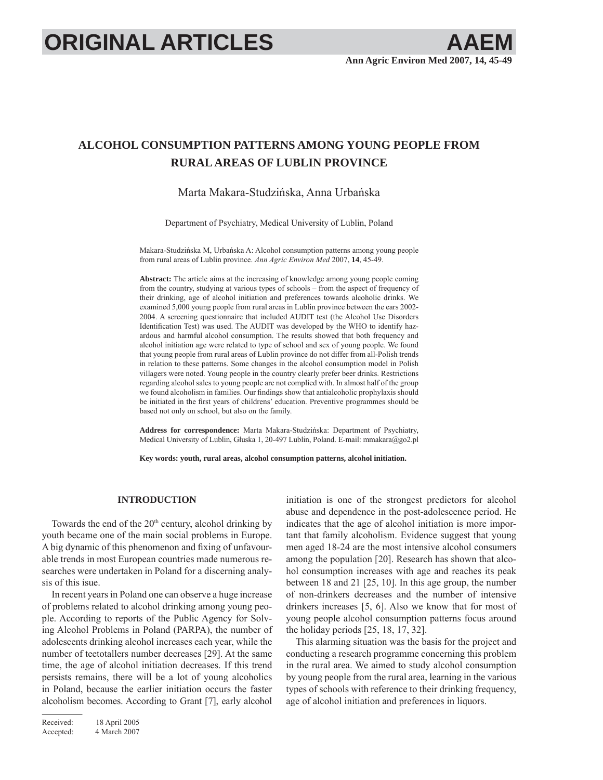# **ORIGINAL ARTICLES**

# **ALCOHOL CONSUMPTION PATTERNS AMONG YOUNG PEOPLE FROM RURAL AREAS OF LUBLIN PROVINCE**

# Marta Makara-Studzińska, Anna Urbańska

Department of Psychiatry, Medical University of Lublin, Poland

Makara-Studzińska M, Urbańska A: Alcohol consumption patterns among young people from rural areas of Lublin province. *Ann Agric Environ Med* 2007, **14**, 45-49.

**Abstract:** The article aims at the increasing of knowledge among young people coming from the country, studying at various types of schools – from the aspect of frequency of their drinking, age of alcohol initiation and preferences towards alcoholic drinks. We examined 5,000 young people from rural areas in Lublin province between the ears 2002- 2004. A screening questionnaire that included AUDIT test (the Alcohol Use Disorders Identification Test) was used. The AUDIT was developed by the WHO to identify hazardous and harmful alcohol consumption. The results showed that both frequency and alcohol initiation age were related to type of school and sex of young people. We found that young people from rural areas of Lublin province do not differ from all-Polish trends in relation to these patterns. Some changes in the alcohol consumption model in Polish villagers were noted. Young people in the country clearly prefer beer drinks. Restrictions regarding alcohol sales to young people are not complied with. In almost half of the group we found alcoholism in families. Our findings show that antialcoholic prophylaxis should be initiated in the first years of childrens' education. Preventive programmes should be based not only on school, but also on the family.

**Address for correspondence:** Marta Makara-Studzińska: Department of Psychiatry, Medical University of Lublin, Głuska 1, 20-497 Lublin, Poland. E-mail: mmakara@go2.pl

**Key words: youth, rural areas, alcohol consumption patterns, alcohol initiation.**

# **INTRODUCTION**

Towards the end of the  $20<sup>th</sup>$  century, alcohol drinking by youth became one of the main social problems in Europe. A big dynamic of this phenomenon and fixing of unfavourable trends in most European countries made numerous researches were undertaken in Poland for a discerning analysis of this isue.

In recent years in Poland one can observe a huge increase of problems related to alcohol drinking among young people. According to reports of the Public Agency for Solving Alcohol Problems in Poland (PARPA), the number of adolescents drinking alcohol increases each year, while the number of teetotallers number decreases [29]. At the same time, the age of alcohol initiation decreases. If this trend persists remains, there will be a lot of young alcoholics in Poland, because the earlier initiation occurs the faster alcoholism becomes. According to Grant [7], early alcohol initiation is one of the strongest predictors for alcohol abuse and dependence in the post-adolescence period. He indicates that the age of alcohol initiation is more important that family alcoholism. Evidence suggest that young men aged 18-24 are the most intensive alcohol consumers among the population [20]. Research has shown that alcohol consumption increases with age and reaches its peak between 18 and 21 [25, 10]. In this age group, the number of non-drinkers decreases and the number of intensive drinkers increases [5, 6]. Also we know that for most of young people alcohol consumption patterns focus around the holiday periods [25, 18, 17, 32].

This alarming situation was the basis for the project and conducting a research programme concerning this problem in the rural area. We aimed to study alcohol consumption by young people from the rural area, learning in the various types of schools with reference to their drinking frequency, age of alcohol initiation and preferences in liquors.

Received: 18 April 2005 Accepted: 4 March 2007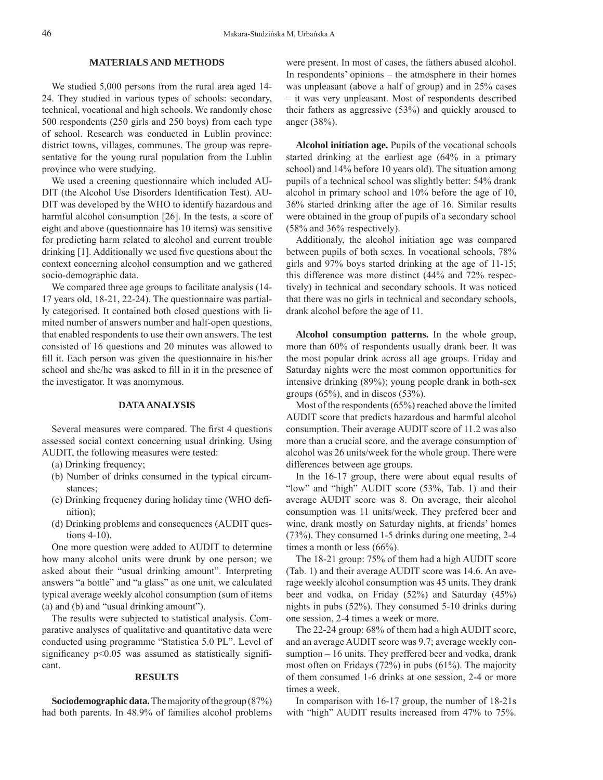# **MATERIALS AND METHODS**

We studied 5,000 persons from the rural area aged 14- 24. They studied in various types of schools: secondary, technical, vocational and high schools. We randomly chose 500 respondents (250 girls and 250 boys) from each type of school. Research was conducted in Lublin province: district towns, villages, communes. The group was representative for the young rural population from the Lublin province who were studying.

We used a creening questionnaire which included AU-DIT (the Alcohol Use Disorders Identification Test). AU-DIT was developed by the WHO to identify hazardous and harmful alcohol consumption [26]. In the tests, a score of eight and above (questionnaire has 10 items) was sensitive for predicting harm related to alcohol and current trouble drinking  $[1]$ . Additionally we used five questions about the context concerning alcohol consumption and we gathered socio-demographic data.

We compared three age groups to facilitate analysis (14- 17 years old, 18-21, 22-24). The questionnaire was partially categorised. It contained both closed questions with limited number of answers number and half-open questions, that enabled respondents to use their own answers. The test consisted of 16 questions and 20 minutes was allowed to fill it. Each person was given the questionnaire in his/her school and she/he was asked to fill in it in the presence of the investigator. It was anomymous.

#### **DATA ANALYSIS**

Several measures were compared. The first 4 questions assessed social context concerning usual drinking. Using AUDIT, the following measures were tested:

- (a) Drinking frequency;
- (b) Number of drinks consumed in the typical circumstances;
- (c) Drinking frequency during holiday time (WHO defi nition);
- (d) Drinking problems and consequences (AUDIT questions 4-10).

One more question were added to AUDIT to determine how many alcohol units were drunk by one person; we asked about their "usual drinking amount". Interpreting answers "a bottle" and "a glass" as one unit, we calculated typical average weekly alcohol consumption (sum of items (a) and (b) and "usual drinking amount").

The results were subjected to statistical analysis. Comparative analyses of qualitative and quantitative data were conducted using programme "Statistica 5.0 PL". Level of significancy  $p<0.05$  was assumed as statistically significant.

#### **RESULTS**

**Sociodemographic data.** The majority of the group (87%) had both parents. In 48.9% of families alcohol problems

were present. In most of cases, the fathers abused alcohol. In respondents' opinions – the atmosphere in their homes was unpleasant (above a half of group) and in 25% cases – it was very unpleasant. Most of respondents described their fathers as aggressive (53%) and quickly aroused to anger (38%).

**Alcohol initiation age.** Pupils of the vocational schools started drinking at the earliest age (64% in a primary school) and 14% before 10 years old). The situation among pupils of a technical school was slightly better: 54% drank alcohol in primary school and 10% before the age of 10, 36% started drinking after the age of 16. Similar results were obtained in the group of pupils of a secondary school (58% and 36% respectively).

Additionaly, the alcohol initiation age was compared between pupils of both sexes. In vocational schools, 78% girls and 97% boys started drinking at the age of 11-15; this difference was more distinct (44% and 72% respectively) in technical and secondary schools. It was noticed that there was no girls in technical and secondary schools, drank alcohol before the age of 11.

**Alcohol consumption patterns.** In the whole group, more than 60% of respondents usually drank beer. It was the most popular drink across all age groups. Friday and Saturday nights were the most common opportunities for intensive drinking (89%); young people drank in both-sex groups  $(65\%)$ , and in discos  $(53\%)$ .

Most of the respondents (65%) reached above the limited AUDIT score that predicts hazardous and harmful alcohol consumption. Their average AUDIT score of 11.2 was also more than a crucial score, and the average consumption of alcohol was 26 units/week for the whole group. There were differences between age groups.

In the 16-17 group, there were about equal results of "low" and "high" AUDIT score (53%, Tab. 1) and their average AUDIT score was 8. On average, their alcohol consumption was 11 units/week. They prefered beer and wine, drank mostly on Saturday nights, at friends' homes (73%). They consumed 1-5 drinks during one meeting, 2-4 times a month or less (66%).

The 18-21 group: 75% of them had a high AUDIT score (Tab. 1) and their average AUDIT score was 14.6. An average weekly alcohol consumption was 45 units. They drank beer and vodka, on Friday (52%) and Saturday (45%) nights in pubs (52%). They consumed 5-10 drinks during one session, 2-4 times a week or more.

The 22-24 group: 68% of them had a high AUDIT score, and an average AUDIT score was 9.7; average weekly consumption – 16 units. They preffered beer and vodka, drank most often on Fridays (72%) in pubs (61%). The majority of them consumed 1-6 drinks at one session, 2-4 or more times a week.

In comparison with 16-17 group, the number of 18-21s with "high" AUDIT results increased from 47% to 75%.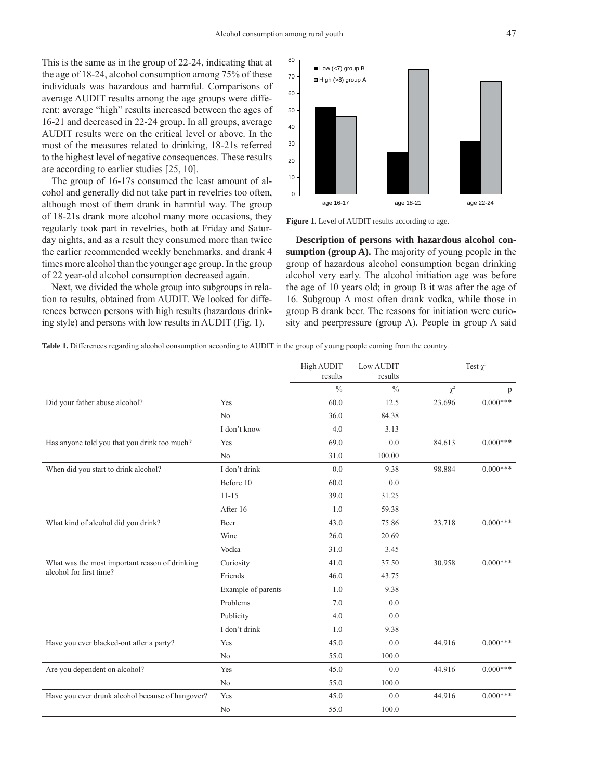This is the same as in the group of 22-24, indicating that at the age of 18-24, alcohol consumption among 75% of these individuals was hazardous and harmful. Comparisons of average AUDIT results among the age groups were different: average "high" results increased between the ages of 16-21 and decreased in 22-24 group. In all groups, average AUDIT results were on the critical level or above. In the most of the measures related to drinking, 18-21s referred to the highest level of negative consequences. These results are according to earlier studies [25, 10].

The group of 16-17s consumed the least amount of alcohol and generally did not take part in revelries too often, although most of them drank in harmful way. The group of 18-21s drank more alcohol many more occasions, they regularly took part in revelries, both at Friday and Saturday nights, and as a result they consumed more than twice the earlier recommended weekly benchmarks, and drank 4 times more alcohol than the younger age group. In the group of 22 year-old alcohol consumption decreased again.

Next, we divided the whole group into subgroups in relation to results, obtained from AUDIT. We looked for differences between persons with high results (hazardous drinking style) and persons with low results in AUDIT (Fig. 1).



**Figure 1.** Level of AUDIT results according to age.

**Description of persons with hazardous alcohol consumption (group A).** The majority of young people in the group of hazardous alcohol consumption began drinking alcohol very early. The alcohol initiation age was before the age of 10 years old; in group B it was after the age of 16. Subgroup A most often drank vodka, while those in group B drank beer. The reasons for initiation were curiosity and peerpressure (group A). People in group A said

**Table 1.** Differences regarding alcohol consumption according to AUDIT in the group of young people coming from the country.

|                                                                           |                    | High AUDIT<br>results | Low AUDIT<br>results | Test $\chi^2$ |            |
|---------------------------------------------------------------------------|--------------------|-----------------------|----------------------|---------------|------------|
|                                                                           |                    | $\frac{0}{0}$         | $\frac{0}{0}$        | $\chi^2$      | p          |
| Did your father abuse alcohol?                                            | Yes                | 60.0                  | 12.5                 | 23.696        | $0.000***$ |
|                                                                           | N <sub>0</sub>     | 36.0                  | 84.38                |               |            |
|                                                                           | I don't know       | 4.0                   | 3.13                 |               |            |
| Has anyone told you that you drink too much?                              | Yes                | 69.0                  | 0.0                  | 84.613        | $0.000***$ |
|                                                                           | N <sub>o</sub>     | 31.0                  | 100.00               |               |            |
| When did you start to drink alcohol?                                      | I don't drink      | 0.0                   | 9.38                 | 98.884        | $0.000***$ |
|                                                                           | Before 10          | 60.0                  | 0.0                  |               |            |
|                                                                           | $11 - 15$          | 39.0                  | 31.25                |               |            |
|                                                                           | After 16           | 1.0                   | 59.38                |               |            |
| What kind of alcohol did you drink?                                       | Beer               | 43.0                  | 75.86                | 23.718        | $0.000***$ |
|                                                                           | Wine               | 26.0                  | 20.69                |               |            |
|                                                                           | Vodka              | 31.0                  | 3.45                 |               |            |
| What was the most important reason of drinking<br>alcohol for first time? | Curiosity          | 41.0                  | 37.50                | 30.958        | $0.000***$ |
|                                                                           | Friends            | 46.0                  | 43.75                |               |            |
|                                                                           | Example of parents | 1.0                   | 9.38                 |               |            |
|                                                                           | Problems           | 7.0                   | 0.0                  |               |            |
|                                                                           | Publicity          | 4.0                   | 0.0                  |               |            |
|                                                                           | I don't drink      | 1.0                   | 9.38                 |               |            |
| Have you ever blacked-out after a party?                                  | Yes                | 45.0                  | 0.0                  | 44.916        | $0.000***$ |
|                                                                           | N <sub>o</sub>     | 55.0                  | 100.0                |               |            |
| Are you dependent on alcohol?                                             | Yes                | 45.0                  | 0.0                  | 44.916        | $0.000***$ |
|                                                                           | N <sub>0</sub>     | 55.0                  | 100.0                |               |            |
| Have you ever drunk alcohol because of hangover?                          | Yes                | 45.0                  | 0.0                  | 44.916        | $0.000***$ |
|                                                                           | N <sub>0</sub>     | 55.0                  | 100.0                |               |            |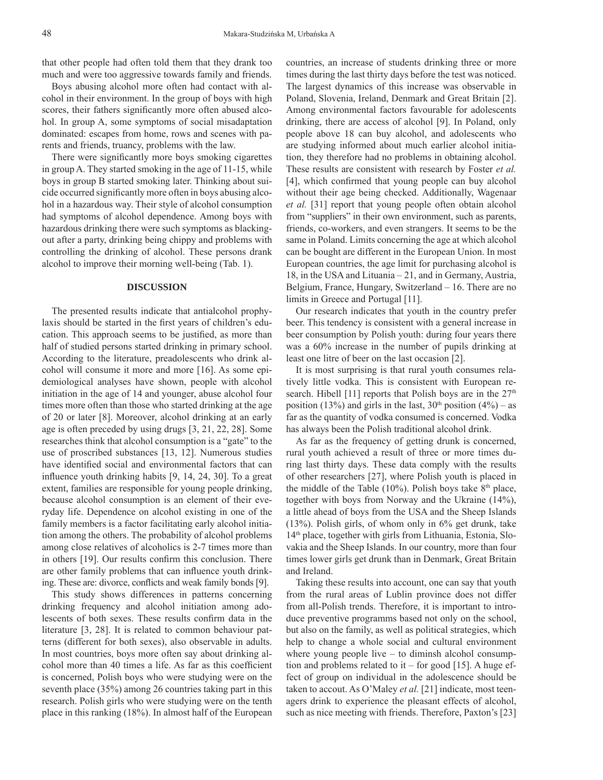that other people had often told them that they drank too much and were too aggressive towards family and friends.

Boys abusing alcohol more often had contact with alcohol in their environment. In the group of boys with high scores, their fathers significantly more often abused alcohol. In group A, some symptoms of social misadaptation dominated: escapes from home, rows and scenes with parents and friends, truancy, problems with the law.

There were significantly more boys smoking cigarettes in group A. They started smoking in the age of 11-15, while boys in group B started smoking later. Thinking about suicide occurred significantly more often in boys abusing alcohol in a hazardous way. Their style of alcohol consumption had symptoms of alcohol dependence. Among boys with hazardous drinking there were such symptoms as blackingout after a party, drinking being chippy and problems with controlling the drinking of alcohol. These persons drank alcohol to improve their morning well-being (Tab. 1).

### **DISCUSSION**

The presented results indicate that antialcohol prophylaxis should be started in the first years of children's education. This approach seems to be justified, as more than half of studied persons started drinking in primary school. According to the literature, preadolescents who drink alcohol will consume it more and more [16]. As some epidemiological analyses have shown, people with alcohol initiation in the age of 14 and younger, abuse alcohol four times more often than those who started drinking at the age of 20 or later [8]. Moreover, alcohol drinking at an early age is often preceded by using drugs [3, 21, 22, 28]. Some researches think that alcohol consumption is a "gate" to the use of proscribed substances [13, 12]. Numerous studies have identified social and environmental factors that can influence youth drinking habits  $[9, 14, 24, 30]$ . To a great extent, families are responsible for young people drinking, because alcohol consumption is an element of their everyday life. Dependence on alcohol existing in one of the family members is a factor facilitating early alcohol initiation among the others. The probability of alcohol problems among close relatives of alcoholics is 2-7 times more than in others [19]. Our results confirm this conclusion. There are other family problems that can influence youth drinking. These are: divorce, conflicts and weak family bonds [9].

This study shows differences in patterns concerning drinking frequency and alcohol initiation among adolescents of both sexes. These results confirm data in the literature [3, 28]. It is related to common behaviour patterns (different for both sexes), also observable in adults. In most countries, boys more often say about drinking alcohol more than 40 times a life. As far as this coefficient is concerned, Polish boys who were studying were on the seventh place (35%) among 26 countries taking part in this research. Polish girls who were studying were on the tenth place in this ranking (18%). In almost half of the European countries, an increase of students drinking three or more times during the last thirty days before the test was noticed. The largest dynamics of this increase was observable in Poland, Slovenia, Ireland, Denmark and Great Britain [2]. Among environmental factors favourable for adolescents drinking, there are access of alcohol [9]. In Poland, only people above 18 can buy alcohol, and adolescents who are studying informed about much earlier alcohol initiation, they therefore had no problems in obtaining alcohol. These results are consistent with research by Foster *et al.* [4], which confirmed that young people can buy alcohol without their age being checked. Additionally, Wagenaar *et al.* [31] report that young people often obtain alcohol from "suppliers" in their own environment, such as parents, friends, co-workers, and even strangers. It seems to be the same in Poland. Limits concerning the age at which alcohol can be bought are different in the European Union. In most European countries, the age limit for purchasing alcohol is 18, in the USA and Lituania – 21, and in Germany, Austria, Belgium, France, Hungary, Switzerland – 16. There are no limits in Greece and Portugal [11].

Our research indicates that youth in the country prefer beer. This tendency is consistent with a general increase in beer consumption by Polish youth: during four years there was a 60% increase in the number of pupils drinking at least one litre of beer on the last occasion [2].

It is most surprising is that rural youth consumes relatively little vodka. This is consistent with European research. Hibell [11] reports that Polish boys are in the  $27<sup>th</sup>$ position (13%) and girls in the last,  $30<sup>th</sup>$  position (4%) – as far as the quantity of vodka consumed is concerned. Vodka has always been the Polish traditional alcohol drink.

As far as the frequency of getting drunk is concerned, rural youth achieved a result of three or more times during last thirty days. These data comply with the results of other researchers [27], where Polish youth is placed in the middle of the Table (10%). Polish boys take  $8<sup>th</sup>$  place, together with boys from Norway and the Ukraine (14%), a little ahead of boys from the USA and the Sheep Islands (13%). Polish girls, of whom only in 6% get drunk, take 14<sup>th</sup> place, together with girls from Lithuania, Estonia, Slovakia and the Sheep Islands. In our country, more than four times lower girls get drunk than in Denmark, Great Britain and Ireland.

Taking these results into account, one can say that youth from the rural areas of Lublin province does not differ from all-Polish trends. Therefore, it is important to introduce preventive programms based not only on the school, but also on the family, as well as political strategies, which help to change a whole social and cultural environment where young people live – to diminsh alcohol consumption and problems related to it – for good  $[15]$ . A huge effect of group on individual in the adolescence should be taken to accout. As O'Maley *et al.* [21] indicate, most teenagers drink to experience the pleasant effects of alcohol, such as nice meeting with friends. Therefore, Paxton's [23]